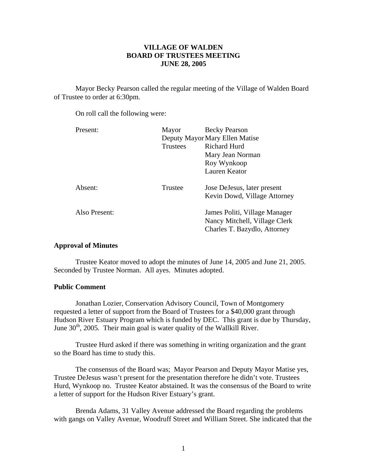# **VILLAGE OF WALDEN BOARD OF TRUSTEES MEETING JUNE 28, 2005**

 Mayor Becky Pearson called the regular meeting of the Village of Walden Board of Trustee to order at 6:30pm.

On roll call the following were:

| Present:      | Mayor                          | <b>Becky Pearson</b>                                                                           |
|---------------|--------------------------------|------------------------------------------------------------------------------------------------|
|               | Deputy Mayor Mary Ellen Matise |                                                                                                |
|               | Trustees                       | Richard Hurd                                                                                   |
|               |                                | Mary Jean Norman                                                                               |
|               |                                | Roy Wynkoop                                                                                    |
|               |                                | Lauren Keator                                                                                  |
| Absent:       | Trustee                        | Jose DeJesus, later present                                                                    |
|               |                                | Kevin Dowd, Village Attorney                                                                   |
| Also Present: |                                | James Politi, Village Manager<br>Nancy Mitchell, Village Clerk<br>Charles T. Bazydlo, Attorney |
|               |                                |                                                                                                |

# **Approval of Minutes**

Trustee Keator moved to adopt the minutes of June 14, 2005 and June 21, 2005. Seconded by Trustee Norman. All ayes. Minutes adopted.

# **Public Comment**

Jonathan Lozier, Conservation Advisory Council, Town of Montgomery requested a letter of support from the Board of Trustees for a \$40,000 grant through Hudson River Estuary Program which is funded by DEC. This grant is due by Thursday, June  $30<sup>th</sup>$ , 2005. Their main goal is water quality of the Wallkill River.

 Trustee Hurd asked if there was something in writing organization and the grant so the Board has time to study this.

 The consensus of the Board was; Mayor Pearson and Deputy Mayor Matise yes, Trustee DeJesus wasn't present for the presentation therefore he didn't vote. Trustees Hurd, Wynkoop no. Trustee Keator abstained. It was the consensus of the Board to write a letter of support for the Hudson River Estuary's grant.

 Brenda Adams, 31 Valley Avenue addressed the Board regarding the problems with gangs on Valley Avenue, Woodruff Street and William Street. She indicated that the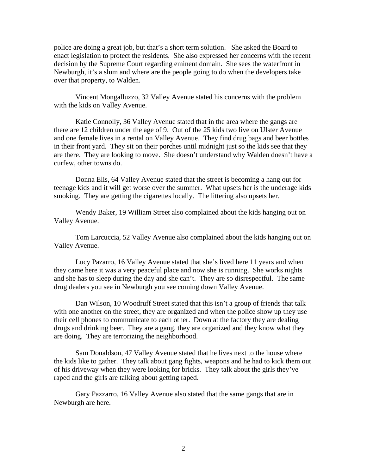police are doing a great job, but that's a short term solution. She asked the Board to enact legislation to protect the residents. She also expressed her concerns with the recent decision by the Supreme Court regarding eminent domain. She sees the waterfront in Newburgh, it's a slum and where are the people going to do when the developers take over that property, to Walden.

 Vincent Mongalluzzo, 32 Valley Avenue stated his concerns with the problem with the kids on Valley Avenue.

 Katie Connolly, 36 Valley Avenue stated that in the area where the gangs are there are 12 children under the age of 9. Out of the 25 kids two live on Ulster Avenue and one female lives in a rental on Valley Avenue. They find drug bags and beer bottles in their front yard. They sit on their porches until midnight just so the kids see that they are there. They are looking to move. She doesn't understand why Walden doesn't have a curfew, other towns do.

 Donna Elis, 64 Valley Avenue stated that the street is becoming a hang out for teenage kids and it will get worse over the summer. What upsets her is the underage kids smoking. They are getting the cigarettes locally. The littering also upsets her.

 Wendy Baker, 19 William Street also complained about the kids hanging out on Valley Avenue.

 Tom Larcuccia, 52 Valley Avenue also complained about the kids hanging out on Valley Avenue.

 Lucy Pazarro, 16 Valley Avenue stated that she's lived here 11 years and when they came here it was a very peaceful place and now she is running. She works nights and she has to sleep during the day and she can't. They are so disrespectful. The same drug dealers you see in Newburgh you see coming down Valley Avenue.

 Dan Wilson, 10 Woodruff Street stated that this isn't a group of friends that talk with one another on the street, they are organized and when the police show up they use their cell phones to communicate to each other. Down at the factory they are dealing drugs and drinking beer. They are a gang, they are organized and they know what they are doing. They are terrorizing the neighborhood.

 Sam Donaldson, 47 Valley Avenue stated that he lives next to the house where the kids like to gather. They talk about gang fights, weapons and he had to kick them out of his driveway when they were looking for bricks. They talk about the girls they've raped and the girls are talking about getting raped.

 Gary Pazzarro, 16 Valley Avenue also stated that the same gangs that are in Newburgh are here.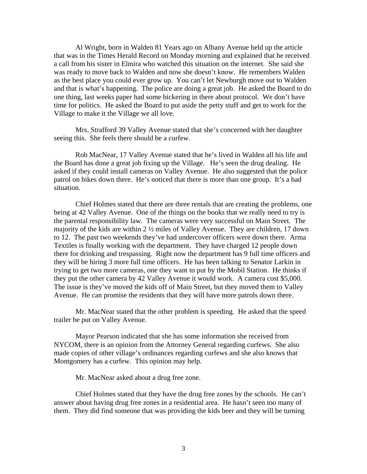Al Wright, born in Walden 81 Years ago on Albany Avenue held up the article that was in the Times Herald Record on Monday morning and explained that he received a call from his sister in Elmira who watched this situation on the internet. She said she was ready to move back to Walden and now she doesn't know. He remembers Walden as the best place you could ever grow up. You can't let Newburgh move out to Walden and that is what's happening. The police are doing a great job. He asked the Board to do one thing, last weeks paper had some bickering in there about protocol. We don't have time for politics. He asked the Board to put aside the petty stuff and get to work for the Village to make it the Village we all love.

 Mrs. Strafford 39 Valley Avenue stated that she's concerned with her daughter seeing this. She feels there should be a curfew.

 Rob MacNear, 17 Valley Avenue stated that he's lived in Walden all his life and the Board has done a great job fixing up the Village. He's seen the drug dealing. He asked if they could install cameras on Valley Avenue. He also suggested that the police patrol on bikes down there. He's noticed that there is more than one group. It's a bad situation.

 Chief Holmes stated that there are three rentals that are creating the problems, one being at 42 Valley Avenue. One of the things on the books that we really need to try is the parental responsibility law. The cameras were very successful on Main Street. The majority of the kids are within 2 ½ miles of Valley Avenue. They are children, 17 down to 12. The past two weekends they've had undercover officers were down there. Arma Textiles is finally working with the department. They have charged 12 people down there for drinking and trespassing. Right now the department has 9 full time officers and they will be hiring 3 more full time officers. He has been talking to Senator Larkin in trying to get two more cameras, one they want to put by the Mobil Station. He thinks if they put the other camera by 42 Valley Avenue it would work. A camera cost \$5,000. The issue is they've moved the kids off of Main Street, but they moved them to Valley Avenue. He can promise the residents that they will have more patrols down there.

 Mr. MacNear stated that the other problem is speeding. He asked that the speed trailer be put on Valley Avenue.

 Mayor Pearson indicated that she has some information she received from NYCOM, there is an opinion from the Attorney General regarding curfews. She also made copies of other village's ordinances regarding curfews and she also knows that Montgomery has a curfew. This opinion may help.

Mr. MacNear asked about a drug free zone.

 Chief Holmes stated that they have the drug free zones by the schools. He can't answer about having drug free zones in a residential area. He hasn't seen too many of them. They did find someone that was providing the kids beer and they will be turning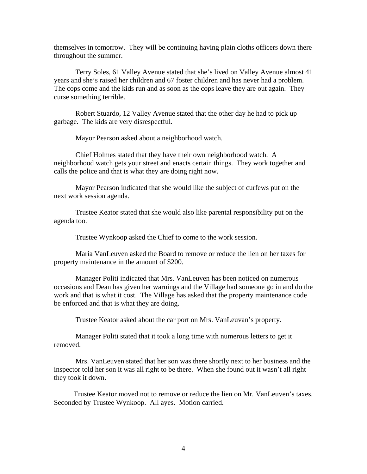themselves in tomorrow. They will be continuing having plain cloths officers down there throughout the summer.

 Terry Soles, 61 Valley Avenue stated that she's lived on Valley Avenue almost 41 years and she's raised her children and 67 foster children and has never had a problem. The cops come and the kids run and as soon as the cops leave they are out again. They curse something terrible.

 Robert Stuardo, 12 Valley Avenue stated that the other day he had to pick up garbage. The kids are very disrespectful.

Mayor Pearson asked about a neighborhood watch.

 Chief Holmes stated that they have their own neighborhood watch. A neighborhood watch gets your street and enacts certain things. They work together and calls the police and that is what they are doing right now.

 Mayor Pearson indicated that she would like the subject of curfews put on the next work session agenda.

 Trustee Keator stated that she would also like parental responsibility put on the agenda too.

Trustee Wynkoop asked the Chief to come to the work session.

 Maria VanLeuven asked the Board to remove or reduce the lien on her taxes for property maintenance in the amount of \$200.

 Manager Politi indicated that Mrs. VanLeuven has been noticed on numerous occasions and Dean has given her warnings and the Village had someone go in and do the work and that is what it cost. The Village has asked that the property maintenance code be enforced and that is what they are doing.

Trustee Keator asked about the car port on Mrs. VanLeuvan's property.

 Manager Politi stated that it took a long time with numerous letters to get it removed.

 Mrs. VanLeuven stated that her son was there shortly next to her business and the inspector told her son it was all right to be there. When she found out it wasn't all right they took it down.

 Trustee Keator moved not to remove or reduce the lien on Mr. VanLeuven's taxes. Seconded by Trustee Wynkoop. All ayes. Motion carried.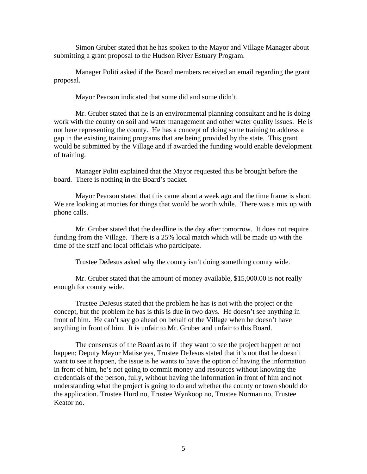Simon Gruber stated that he has spoken to the Mayor and Village Manager about submitting a grant proposal to the Hudson River Estuary Program.

 Manager Politi asked if the Board members received an email regarding the grant proposal.

Mayor Pearson indicated that some did and some didn't.

 Mr. Gruber stated that he is an environmental planning consultant and he is doing work with the county on soil and water management and other water quality issues. He is not here representing the county. He has a concept of doing some training to address a gap in the existing training programs that are being provided by the state. This grant would be submitted by the Village and if awarded the funding would enable development of training.

 Manager Politi explained that the Mayor requested this be brought before the board. There is nothing in the Board's packet.

 Mayor Pearson stated that this came about a week ago and the time frame is short. We are looking at monies for things that would be worth while. There was a mix up with phone calls.

 Mr. Gruber stated that the deadline is the day after tomorrow. It does not require funding from the Village. There is a 25% local match which will be made up with the time of the staff and local officials who participate.

Trustee DeJesus asked why the county isn't doing something county wide.

 Mr. Gruber stated that the amount of money available, \$15,000.00 is not really enough for county wide.

 Trustee DeJesus stated that the problem he has is not with the project or the concept, but the problem he has is this is due in two days. He doesn't see anything in front of him. He can't say go ahead on behalf of the Village when he doesn't have anything in front of him. It is unfair to Mr. Gruber and unfair to this Board.

 The consensus of the Board as to if they want to see the project happen or not happen; Deputy Mayor Matise yes, Trustee DeJesus stated that it's not that he doesn't want to see it happen, the issue is he wants to have the option of having the information in front of him, he's not going to commit money and resources without knowing the credentials of the person, fully, without having the information in front of him and not understanding what the project is going to do and whether the county or town should do the application. Trustee Hurd no, Trustee Wynkoop no, Trustee Norman no, Trustee Keator no.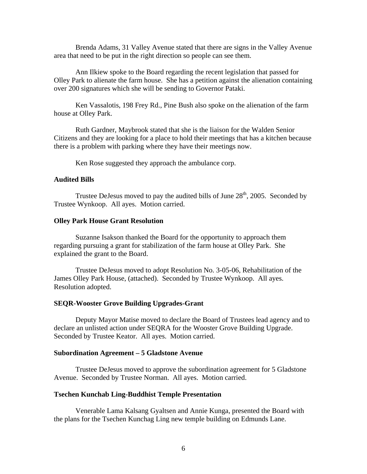Brenda Adams, 31 Valley Avenue stated that there are signs in the Valley Avenue area that need to be put in the right direction so people can see them.

 Ann Ilkiew spoke to the Board regarding the recent legislation that passed for Olley Park to alienate the farm house. She has a petition against the alienation containing over 200 signatures which she will be sending to Governor Pataki.

 Ken Vassalotis, 198 Frey Rd., Pine Bush also spoke on the alienation of the farm house at Olley Park.

 Ruth Gardner, Maybrook stated that she is the liaison for the Walden Senior Citizens and they are looking for a place to hold their meetings that has a kitchen because there is a problem with parking where they have their meetings now.

Ken Rose suggested they approach the ambulance corp.

#### **Audited Bills**

Trustee DeJesus moved to pay the audited bills of June  $28<sup>th</sup>$ , 2005. Seconded by Trustee Wynkoop. All ayes. Motion carried.

### **Olley Park House Grant Resolution**

Suzanne Isakson thanked the Board for the opportunity to approach them regarding pursuing a grant for stabilization of the farm house at Olley Park. She explained the grant to the Board.

Trustee DeJesus moved to adopt Resolution No. 3-05-06, Rehabilitation of the James Olley Park House, (attached). Seconded by Trustee Wynkoop. All ayes. Resolution adopted.

#### **SEQR-Wooster Grove Building Upgrades-Grant**

Deputy Mayor Matise moved to declare the Board of Trustees lead agency and to declare an unlisted action under SEQRA for the Wooster Grove Building Upgrade. Seconded by Trustee Keator. All ayes. Motion carried.

#### **Subordination Agreement – 5 Gladstone Avenue**

Trustee DeJesus moved to approve the subordination agreement for 5 Gladstone Avenue. Seconded by Trustee Norman. All ayes. Motion carried.

#### **Tsechen Kunchab Ling-Buddhist Temple Presentation**

Venerable Lama Kalsang Gyaltsen and Annie Kunga, presented the Board with the plans for the Tsechen Kunchag Ling new temple building on Edmunds Lane.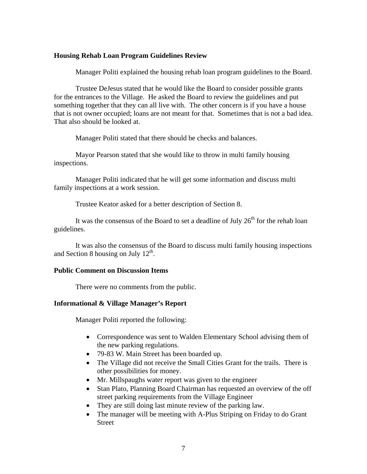### **Housing Rehab Loan Program Guidelines Review**

Manager Politi explained the housing rehab loan program guidelines to the Board.

 Trustee DeJesus stated that he would like the Board to consider possible grants for the entrances to the Village. He asked the Board to review the guidelines and put something together that they can all live with. The other concern is if you have a house that is not owner occupied; loans are not meant for that. Sometimes that is not a bad idea. That also should be looked at.

Manager Politi stated that there should be checks and balances.

 Mayor Pearson stated that she would like to throw in multi family housing inspections.

 Manager Politi indicated that he will get some information and discuss multi family inspections at a work session.

Trustee Keator asked for a better description of Section 8.

It was the consensus of the Board to set a deadline of July  $26<sup>th</sup>$  for the rehab loan guidelines.

 It was also the consensus of the Board to discuss multi family housing inspections and Section 8 housing on July  $12<sup>th</sup>$ .

### **Public Comment on Discussion Items**

There were no comments from the public.

# **Informational & Village Manager's Report**

Manager Politi reported the following:

- Correspondence was sent to Walden Elementary School advising them of the new parking regulations.
- 79-83 W. Main Street has been boarded up.
- The Village did not receive the Small Cities Grant for the trails. There is other possibilities for money.
- Mr. Millspaughs water report was given to the engineer
- Stan Plato, Planning Board Chairman has requested an overview of the off street parking requirements from the Village Engineer
- They are still doing last minute review of the parking law.
- The manager will be meeting with A-Plus Striping on Friday to do Grant Street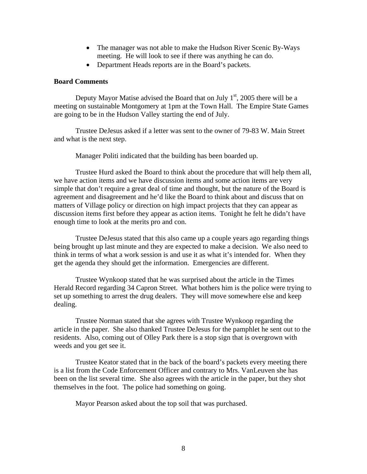- The manager was not able to make the Hudson River Scenic By-Ways meeting. He will look to see if there was anything he can do.
- Department Heads reports are in the Board's packets.

### **Board Comments**

Deputy Mayor Matise advised the Board that on July  $1<sup>st</sup>$ , 2005 there will be a meeting on sustainable Montgomery at 1pm at the Town Hall. The Empire State Games are going to be in the Hudson Valley starting the end of July.

 Trustee DeJesus asked if a letter was sent to the owner of 79-83 W. Main Street and what is the next step.

Manager Politi indicated that the building has been boarded up.

 Trustee Hurd asked the Board to think about the procedure that will help them all, we have action items and we have discussion items and some action items are very simple that don't require a great deal of time and thought, but the nature of the Board is agreement and disagreement and he'd like the Board to think about and discuss that on matters of Village policy or direction on high impact projects that they can appear as discussion items first before they appear as action items. Tonight he felt he didn't have enough time to look at the merits pro and con.

 Trustee DeJesus stated that this also came up a couple years ago regarding things being brought up last minute and they are expected to make a decision. We also need to think in terms of what a work session is and use it as what it's intended for. When they get the agenda they should get the information. Emergencies are different.

 Trustee Wynkoop stated that he was surprised about the article in the Times Herald Record regarding 34 Capron Street. What bothers him is the police were trying to set up something to arrest the drug dealers. They will move somewhere else and keep dealing.

 Trustee Norman stated that she agrees with Trustee Wynkoop regarding the article in the paper. She also thanked Trustee DeJesus for the pamphlet he sent out to the residents. Also, coming out of Olley Park there is a stop sign that is overgrown with weeds and you get see it.

 Trustee Keator stated that in the back of the board's packets every meeting there is a list from the Code Enforcement Officer and contrary to Mrs. VanLeuven she has been on the list several time. She also agrees with the article in the paper, but they shot themselves in the foot. The police had something on going.

Mayor Pearson asked about the top soil that was purchased.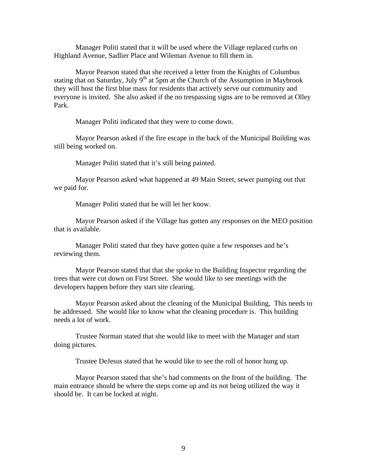Manager Politi stated that it will be used where the Village replaced curbs on Highland Avenue, Sadlier Place and Wileman Avenue to fill them in.

 Mayor Pearson stated that she received a letter from the Knights of Columbus stating that on Saturday, July  $9<sup>th</sup>$  at 5pm at the Church of the Assumption in Maybrook they will host the first blue mass for residents that actively serve our community and everyone is invited. She also asked if the no trespassing signs are to be removed at Olley Park.

Manager Politi indicated that they were to come down.

 Mayor Pearson asked if the fire escape in the back of the Municipal Building was still being worked on.

Manager Politi stated that it's still being painted.

 Mayor Pearson asked what happened at 49 Main Street, sewer pumping out that we paid for.

Manager Politi stated that he will let her know.

 Mayor Pearson asked if the Village has gotten any responses on the MEO position that is available.

 Manager Politi stated that they have gotten quite a few responses and he's reviewing them.

 Mayor Pearson stated that that she spoke to the Building Inspector regarding the trees that were cut down on First Street. She would like to see meetings with the developers happen before they start site clearing.

 Mayor Pearson asked about the cleaning of the Municipal Building, This needs to be addressed. She would like to know what the cleaning procedure is. This building needs a lot of work.

 Trustee Norman stated that she would like to meet with the Manager and start doing pictures.

Trustee DeJesus stated that he would like to see the roll of honor hung up.

 Mayor Pearson stated that she's had comments on the front of the building. The main entrance should be where the steps come up and its not being utilized the way it should be. It can be locked at night.